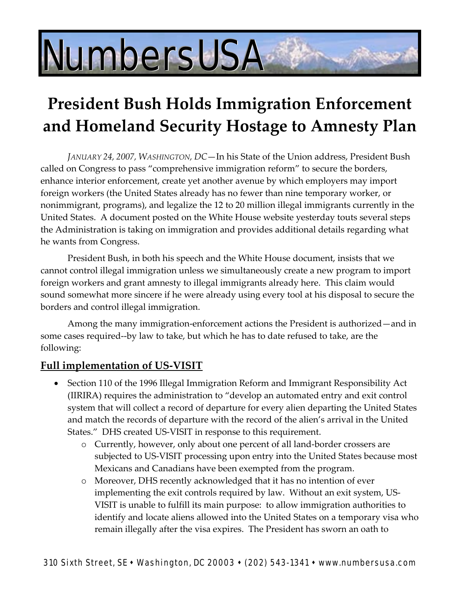# NumbersUSA

# **President Bush Holds Immigration Enforcement and Homeland Security Hostage to Amnesty Plan**

*JANUARY 24, 2007, WASHINGTON, DC*—In his State of the Union address, President Bush called on Congress to pass "comprehensive immigration reform" to secure the borders, enhance interior enforcement, create yet another avenue by which employers may import foreign workers (the United States already has no fewer than nine temporary worker, or nonimmigrant, programs), and legalize the 12 to 20 million illegal immigrants currently in the United States. A document posted on the White House website yesterday touts several steps the Administration is taking on immigration and provides additional details regarding what he wants from Congress.

President Bush, in both his speech and the White House document, insists that we cannot control illegal immigration unless we simultaneously create a new program to import foreign workers and grant amnesty to illegal immigrants already here. This claim would sound somewhat more sincere if he were already using every tool at his disposal to secure the borders and control illegal immigration.

Among the many immigration‐enforcement actions the President is authorized—and in some cases required--by law to take, but which he has to date refused to take, are the following:

# **Full implementation of US‐VISIT**

- Section 110 of the 1996 Illegal Immigration Reform and Immigrant Responsibility Act (IIRIRA) requires the administration to "develop an automated entry and exit control system that will collect a record of departure for every alien departing the United States and match the records of departure with the record of the alien's arrival in the United States." DHS created US‐VISIT in response to this requirement.
	- o Currently, however, only about one percent of all land‐border crossers are subjected to US‐VISIT processing upon entry into the United States because most Mexicans and Canadians have been exempted from the program.
	- o Moreover, DHS recently acknowledged that it has no intention of ever implementing the exit controls required by law. Without an exit system, US‐ VISIT is unable to fulfill its main purpose: to allow immigration authorities to identify and locate aliens allowed into the United States on a temporary visa who remain illegally after the visa expires. The President has sworn an oath to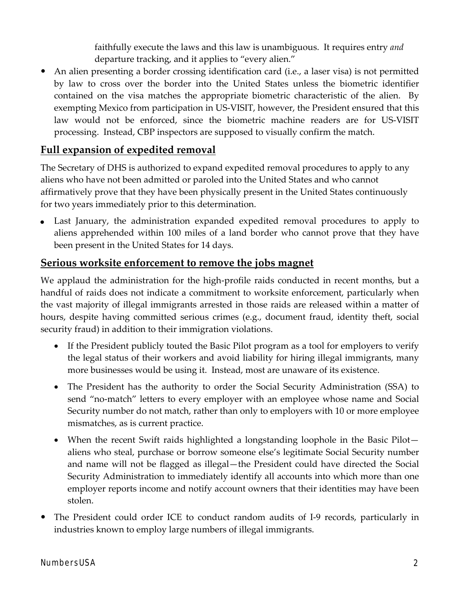faithfully execute the laws and this law is unambiguous. It requires entry *and* departure tracking, and it applies to "every alien."

An alien presenting a border crossing identification card (i.e., a laser visa) is not permitted by law to cross over the border into the United States unless the biometric identifier contained on the visa matches the appropriate biometric characteristic of the alien. By exempting Mexico from participation in US‐VISIT, however, the President ensured that this law would not be enforced, since the biometric machine readers are for US‐VISIT processing. Instead, CBP inspectors are supposed to visually confirm the match.

# **Full expansion of expedited removal**

The Secretary of DHS is authorized to expand expedited removal procedures to apply to any aliens who have not been admitted or paroled into the United States and who cannot affirmatively prove that they have been physically present in the United States continuously for two years immediately prior to this determination.

 Last January, the administration expanded expedited removal procedures to apply to aliens apprehended within 100 miles of a land border who cannot prove that they have been present in the United States for 14 days.

### **Serious worksite enforcement to remove the jobs magnet**

We applaud the administration for the high-profile raids conducted in recent months, but a handful of raids does not indicate a commitment to worksite enforcement, particularly when the vast majority of illegal immigrants arrested in those raids are released within a matter of hours, despite having committed serious crimes (e.g., document fraud, identity theft, social security fraud) in addition to their immigration violations.

- If the President publicly touted the Basic Pilot program as a tool for employers to verify the legal status of their workers and avoid liability for hiring illegal immigrants, many more businesses would be using it. Instead, most are unaware of its existence.
- The President has the authority to order the Social Security Administration (SSA) to send "no-match" letters to every employer with an employee whose name and Social Security number do not match, rather than only to employers with 10 or more employee mismatches, as is current practice.
- When the recent Swift raids highlighted a longstanding loophole in the Basic Pilot aliens who steal, purchase or borrow someone else's legitimate Social Security number and name will not be flagged as illegal—the President could have directed the Social Security Administration to immediately identify all accounts into which more than one employer reports income and notify account owners that their identities may have been stolen.
- The President could order ICE to conduct random audits of I-9 records, particularly in industries known to employ large numbers of illegal immigrants.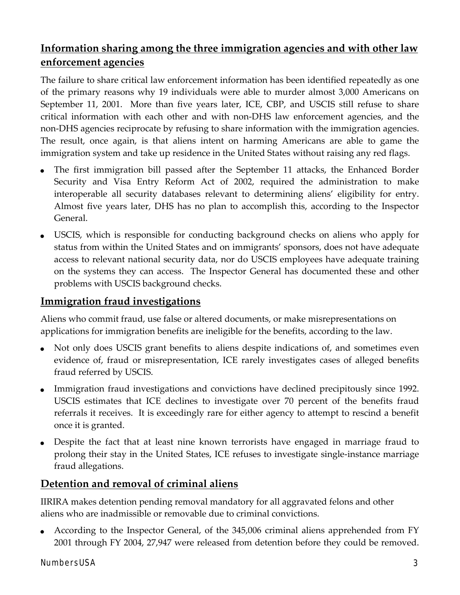# **Information sharing among the three immigration agencies and with other law enforcement agencies**

The failure to share critical law enforcement information has been identified repeatedly as one of the primary reasons why 19 individuals were able to murder almost 3,000 Americans on September 11, 2001. More than five years later, ICE, CBP, and USCIS still refuse to share critical information with each other and with non‐DHS law enforcement agencies, and the non-DHS agencies reciprocate by refusing to share information with the immigration agencies. The result, once again, is that aliens intent on harming Americans are able to game the immigration system and take up residence in the United States without raising any red flags.

- The first immigration bill passed after the September 11 attacks, the Enhanced Border Security and Visa Entry Reform Act of 2002, required the administration to make interoperable all security databases relevant to determining aliens' eligibility for entry. Almost five years later, DHS has no plan to accomplish this, according to the Inspector General.
- USCIS, which is responsible for conducting background checks on aliens who apply for status from within the United States and on immigrants' sponsors, does not have adequate access to relevant national security data, nor do USCIS employees have adequate training on the systems they can access. The Inspector General has documented these and other problems with USCIS background checks.

# **Immigration fraud investigations**

Aliens who commit fraud, use false or altered documents, or make misrepresentations on applications for immigration benefits are ineligible for the benefits, according to the law.

- Not only does USCIS grant benefits to aliens despite indications of, and sometimes even evidence of, fraud or misrepresentation, ICE rarely investigates cases of alleged benefits fraud referred by USCIS.
- Immigration fraud investigations and convictions have declined precipitously since 1992. USCIS estimates that ICE declines to investigate over 70 percent of the benefits fraud referrals it receives. It is exceedingly rare for either agency to attempt to rescind a benefit once it is granted.
- Despite the fact that at least nine known terrorists have engaged in marriage fraud to prolong their stay in the United States, ICE refuses to investigate single‐instance marriage fraud allegations.

# **Detention and removal of criminal aliens**

IIRIRA makes detention pending removal mandatory for all aggravated felons and other aliens who are inadmissible or removable due to criminal convictions.

 According to the Inspector General, of the 345,006 criminal aliens apprehended from FY 2001 through FY 2004, 27,947 were released from detention before they could be removed.

#### NumbersUSA 3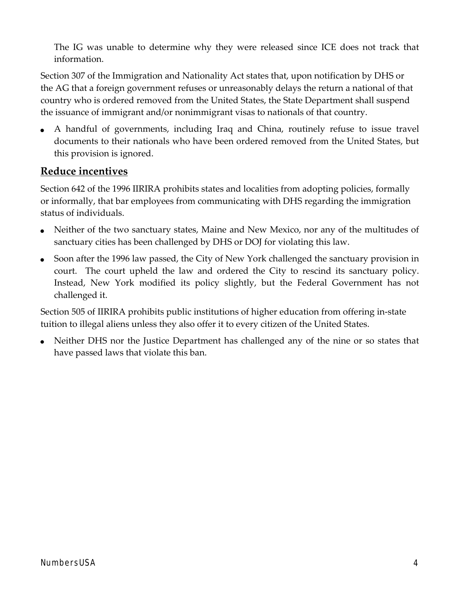The IG was unable to determine why they were released since ICE does not track that information.

Section 307 of the Immigration and Nationality Act states that, upon notification by DHS or the AG that a foreign government refuses or unreasonably delays the return a national of that country who is ordered removed from the United States, the State Department shall suspend the issuance of immigrant and/or nonimmigrant visas to nationals of that country.

 A handful of governments, including Iraq and China, routinely refuse to issue travel documents to their nationals who have been ordered removed from the United States, but this provision is ignored.

# **Reduce incentives**

Section 642 of the 1996 IIRIRA prohibits states and localities from adopting policies, formally or informally, that bar employees from communicating with DHS regarding the immigration status of individuals.

- Neither of the two sanctuary states, Maine and New Mexico, nor any of the multitudes of sanctuary cities has been challenged by DHS or DOJ for violating this law.
- Soon after the 1996 law passed, the City of New York challenged the sanctuary provision in court. The court upheld the law and ordered the City to rescind its sanctuary policy. Instead, New York modified its policy slightly, but the Federal Government has not challenged it.

Section 505 of IIRIRA prohibits public institutions of higher education from offering in‐state tuition to illegal aliens unless they also offer it to every citizen of the United States.

 Neither DHS nor the Justice Department has challenged any of the nine or so states that have passed laws that violate this ban.